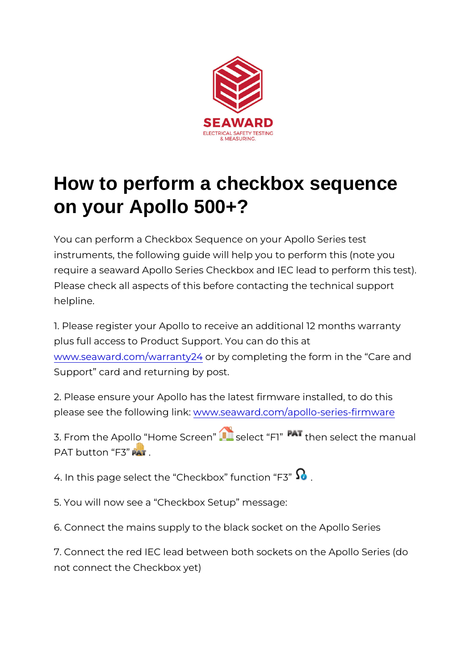## How to perform a checkbox sequence on your Apollo 500+?

You can perform a Checkbox Sequence on your Apollo Series instruments, the following guide will help you to perform this require a seaward Apollo Series Checkbox and IEC lead to pe Please check all aspects of this before contacting the technic helpline.

1. Please register your Apollo to receive an additional 12 mon plus full access to Product Support. You can do this at [www.seaward.com/war](/warranty24)rantby  $24$  completing the form in the Care Support card and returning by post.

2. Please ensure your Apollo has the latest firmware installed please see the followwiw gy .ls a kaward.com/apollo-series-firm ware

3. From the Apollo Home Sscete eacht F1 then select the manual PAT button F3

4. In this page select the Checkbox function F3

5. You will now see a Checkbox Setup message:

6. Connect the mains supply to the black socket on the Apollo

7. Connect the red IEC lead between both sockets on the Apo not connect the Checkbox yet)